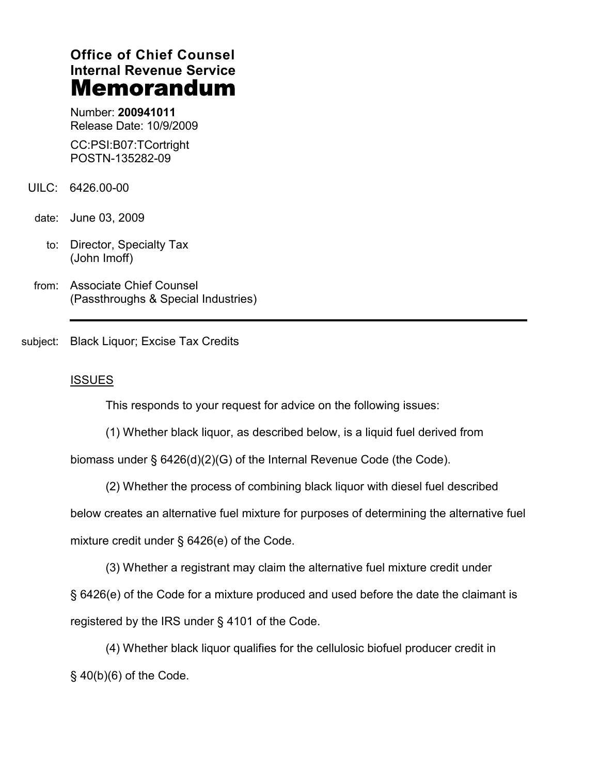# **Office of Chief Counsel Internal Revenue Service** Memorandum

Number: **200941011** Release Date: 10/9/2009

CC:PSI:B07:TCortright POSTN-135282-09

- UILC: 6426.00-00
- date: June 03, 2009
	- to: Director, Specialty Tax (John Imoff)
- from: Associate Chief Counsel (Passthroughs & Special Industries)

subject: Black Liquor; Excise Tax Credits

## ISSUES

This responds to your request for advice on the following issues:

(1) Whether black liquor, as described below, is a liquid fuel derived from

biomass under § 6426(d)(2)(G) of the Internal Revenue Code (the Code).

(2) Whether the process of combining black liquor with diesel fuel described below creates an alternative fuel mixture for purposes of determining the alternative fuel mixture credit under § 6426(e) of the Code.

(3) Whether a registrant may claim the alternative fuel mixture credit under

§ 6426(e) of the Code for a mixture produced and used before the date the claimant is registered by the IRS under § 4101 of the Code.

(4) Whether black liquor qualifies for the cellulosic biofuel producer credit in § 40(b)(6) of the Code.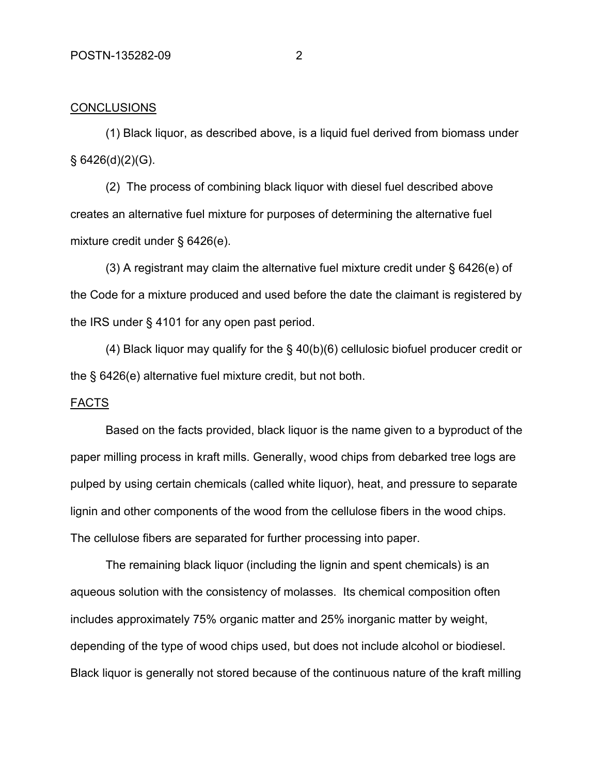### **CONCLUSIONS**

(1) Black liquor, as described above, is a liquid fuel derived from biomass under  $§ 6426(d)(2)(G).$ 

(2) The process of combining black liquor with diesel fuel described above creates an alternative fuel mixture for purposes of determining the alternative fuel mixture credit under § 6426(e).

(3) A registrant may claim the alternative fuel mixture credit under § 6426(e) of the Code for a mixture produced and used before the date the claimant is registered by the IRS under § 4101 for any open past period.

(4) Black liquor may qualify for the § 40(b)(6) cellulosic biofuel producer credit or the § 6426(e) alternative fuel mixture credit, but not both.

#### FACTS

Based on the facts provided, black liquor is the name given to a byproduct of the paper milling process in kraft mills. Generally, wood chips from debarked tree logs are pulped by using certain chemicals (called white liquor), heat, and pressure to separate lignin and other components of the wood from the cellulose fibers in the wood chips. The cellulose fibers are separated for further processing into paper.

The remaining black liquor (including the lignin and spent chemicals) is an aqueous solution with the consistency of molasses. Its chemical composition often includes approximately 75% organic matter and 25% inorganic matter by weight, depending of the type of wood chips used, but does not include alcohol or biodiesel. Black liquor is generally not stored because of the continuous nature of the kraft milling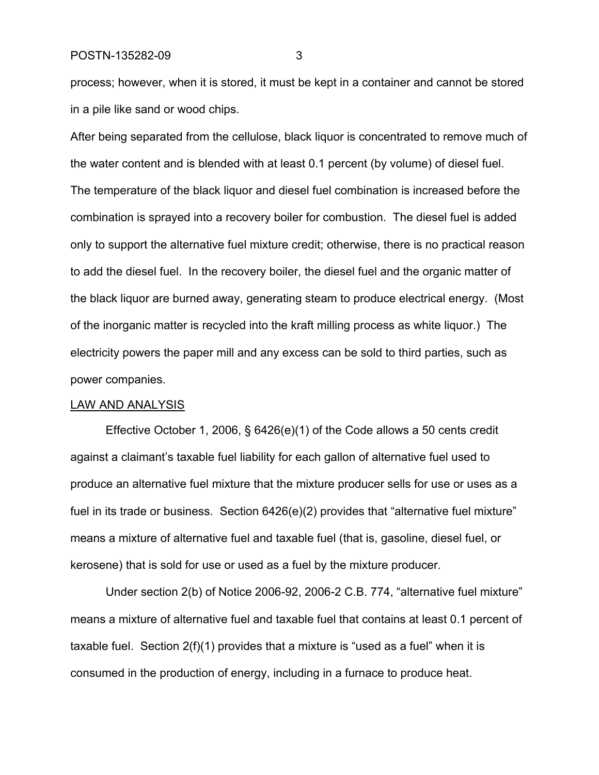POSTN-135282-09 3

process; however, when it is stored, it must be kept in a container and cannot be stored in a pile like sand or wood chips.

After being separated from the cellulose, black liquor is concentrated to remove much of the water content and is blended with at least 0.1 percent (by volume) of diesel fuel. The temperature of the black liquor and diesel fuel combination is increased before the combination is sprayed into a recovery boiler for combustion. The diesel fuel is added only to support the alternative fuel mixture credit; otherwise, there is no practical reason to add the diesel fuel. In the recovery boiler, the diesel fuel and the organic matter of the black liquor are burned away, generating steam to produce electrical energy. (Most of the inorganic matter is recycled into the kraft milling process as white liquor.) The electricity powers the paper mill and any excess can be sold to third parties, such as power companies.

#### LAW AND ANALYSIS

Effective October 1, 2006, § 6426(e)(1) of the Code allows a 50 cents credit against a claimant's taxable fuel liability for each gallon of alternative fuel used to produce an alternative fuel mixture that the mixture producer sells for use or uses as a fuel in its trade or business. Section 6426(e)(2) provides that "alternative fuel mixture" means a mixture of alternative fuel and taxable fuel (that is, gasoline, diesel fuel, or kerosene) that is sold for use or used as a fuel by the mixture producer.

Under section 2(b) of Notice 2006-92, 2006-2 C.B. 774, "alternative fuel mixture" means a mixture of alternative fuel and taxable fuel that contains at least 0.1 percent of taxable fuel. Section 2(f)(1) provides that a mixture is "used as a fuel" when it is consumed in the production of energy, including in a furnace to produce heat.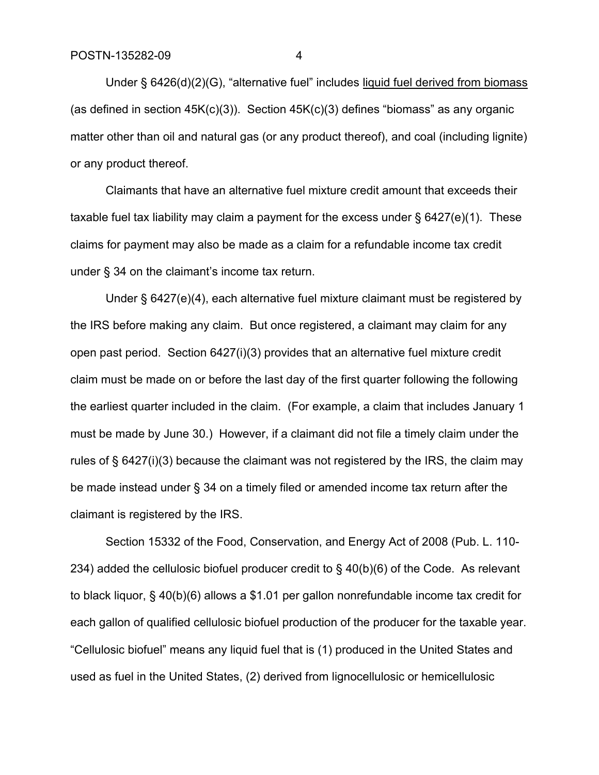Under § 6426(d)(2)(G), "alternative fuel" includes liquid fuel derived from biomass (as defined in section  $45K(c)(3)$ ). Section  $45K(c)(3)$  defines "biomass" as any organic matter other than oil and natural gas (or any product thereof), and coal (including lignite) or any product thereof.

Claimants that have an alternative fuel mixture credit amount that exceeds their taxable fuel tax liability may claim a payment for the excess under  $\S$  6427(e)(1). These claims for payment may also be made as a claim for a refundable income tax credit under § 34 on the claimant's income tax return.

Under § 6427(e)(4), each alternative fuel mixture claimant must be registered by the IRS before making any claim. But once registered, a claimant may claim for any open past period. Section 6427(i)(3) provides that an alternative fuel mixture credit claim must be made on or before the last day of the first quarter following the following the earliest quarter included in the claim. (For example, a claim that includes January 1 must be made by June 30.) However, if a claimant did not file a timely claim under the rules of § 6427(i)(3) because the claimant was not registered by the IRS, the claim may be made instead under § 34 on a timely filed or amended income tax return after the claimant is registered by the IRS.

Section 15332 of the Food, Conservation, and Energy Act of 2008 (Pub. L. 110- 234) added the cellulosic biofuel producer credit to § 40(b)(6) of the Code. As relevant to black liquor, § 40(b)(6) allows a \$1.01 per gallon nonrefundable income tax credit for each gallon of qualified cellulosic biofuel production of the producer for the taxable year. "Cellulosic biofuel" means any liquid fuel that is (1) produced in the United States and used as fuel in the United States, (2) derived from lignocellulosic or hemicellulosic